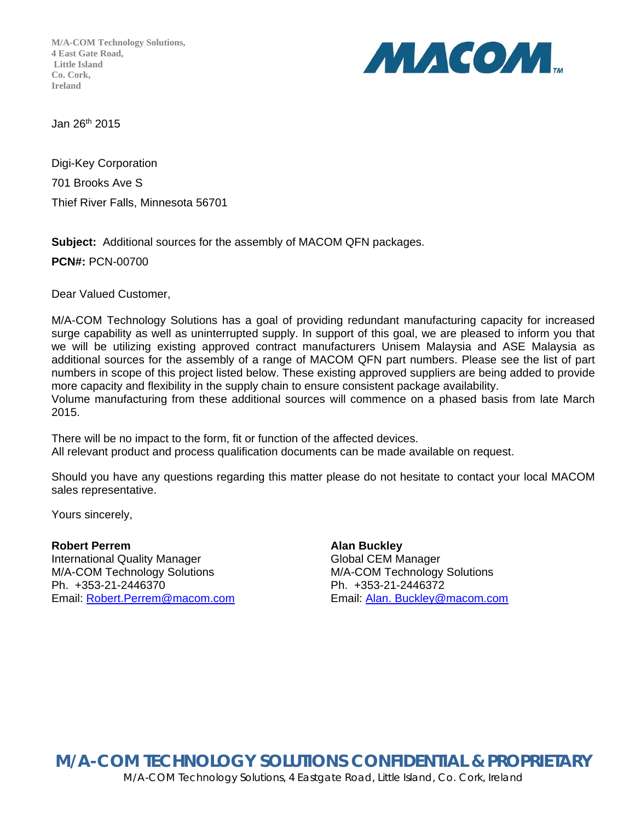**M/A-COM Technology Solutions, 4 East Gate Road, Little Island Co. Cork, Ireland**



Jan 26th 2015

Digi-Key Corporation 701 Brooks Ave S Thief River Falls, Minnesota 56701

**Subject:** Additional sources for the assembly of MACOM QFN packages.

**PCN#:** PCN-00700

Dear Valued Customer,

M/A-COM Technology Solutions has a goal of providing redundant manufacturing capacity for increased surge capability as well as uninterrupted supply. In support of this goal, we are pleased to inform you that we will be utilizing existing approved contract manufacturers Unisem Malaysia and ASE Malaysia as additional sources for the assembly of a range of MACOM QFN part numbers. Please see the list of part numbers in scope of this project listed below. These existing approved suppliers are being added to provide more capacity and flexibility in the supply chain to ensure consistent package availability.

Volume manufacturing from these additional sources will commence on a phased basis from late March 2015.

There will be no impact to the form, fit or function of the affected devices. All relevant product and process qualification documents can be made available on request.

Should you have any questions regarding this matter please do not hesitate to contact your local MACOM sales representative.

Yours sincerely,

## **Robert Perrem Alan Buckley** International Quality Manager Global CEM Manager M/A-COM Technology Solutions M/A-COM Technology Solutions Ph. +353-21-2446370 Ph. +353-21-2446372

Email: Robert.Perrem@macom.com Email: Alan. Buckley@macom.com

**M/A-COM TECHNOLOGY SOLUTIONS CONFIDENTIAL & PROPRIETARY**  M/A-COM Technology Solutions, 4 Eastgate Road, Little Island, Co. Cork, Ireland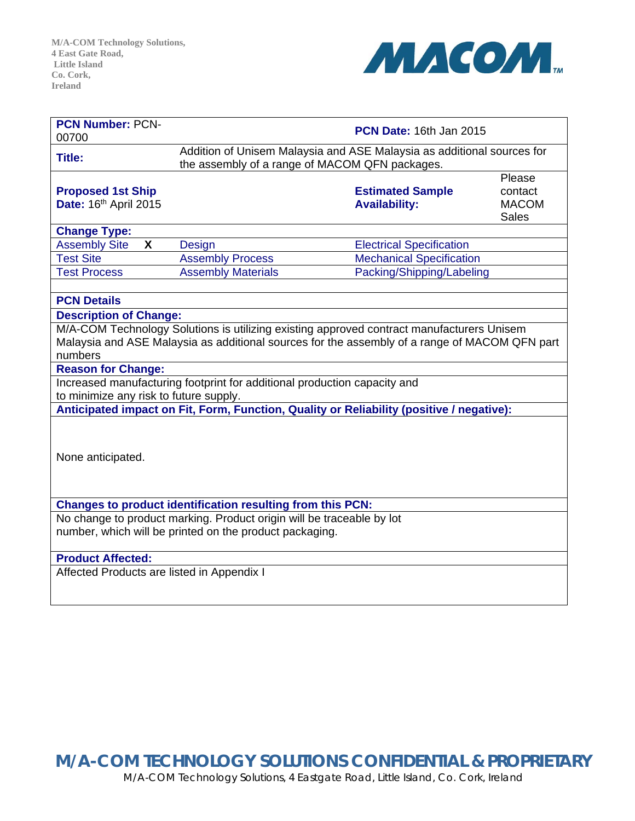

| <b>PCN Number: PCN-</b><br>00700                                                                                                    | <b>PCN Date: 16th Jan 2015</b>                                                                                           |                                                 |                                                   |
|-------------------------------------------------------------------------------------------------------------------------------------|--------------------------------------------------------------------------------------------------------------------------|-------------------------------------------------|---------------------------------------------------|
| <b>Title:</b>                                                                                                                       | Addition of Unisem Malaysia and ASE Malaysia as additional sources for<br>the assembly of a range of MACOM QFN packages. |                                                 |                                                   |
| <b>Proposed 1st Ship</b><br>Date: 16th April 2015                                                                                   |                                                                                                                          | <b>Estimated Sample</b><br><b>Availability:</b> | Please<br>contact<br><b>MACOM</b><br><b>Sales</b> |
| <b>Change Type:</b>                                                                                                                 |                                                                                                                          |                                                 |                                                   |
| <b>Assembly Site</b><br>X                                                                                                           | <b>Design</b>                                                                                                            | <b>Electrical Specification</b>                 |                                                   |
| <b>Test Site</b>                                                                                                                    | <b>Assembly Process</b>                                                                                                  | <b>Mechanical Specification</b>                 |                                                   |
| <b>Test Process</b>                                                                                                                 | <b>Assembly Materials</b>                                                                                                | Packing/Shipping/Labeling                       |                                                   |
|                                                                                                                                     |                                                                                                                          |                                                 |                                                   |
| <b>PCN Details</b>                                                                                                                  |                                                                                                                          |                                                 |                                                   |
| <b>Description of Change:</b>                                                                                                       |                                                                                                                          |                                                 |                                                   |
| M/A-COM Technology Solutions is utilizing existing approved contract manufacturers Unisem                                           |                                                                                                                          |                                                 |                                                   |
| Malaysia and ASE Malaysia as additional sources for the assembly of a range of MACOM QFN part                                       |                                                                                                                          |                                                 |                                                   |
| numbers                                                                                                                             |                                                                                                                          |                                                 |                                                   |
| <b>Reason for Change:</b>                                                                                                           |                                                                                                                          |                                                 |                                                   |
| Increased manufacturing footprint for additional production capacity and<br>to minimize any risk to future supply.                  |                                                                                                                          |                                                 |                                                   |
| Anticipated impact on Fit, Form, Function, Quality or Reliability (positive / negative):                                            |                                                                                                                          |                                                 |                                                   |
| None anticipated.                                                                                                                   |                                                                                                                          |                                                 |                                                   |
|                                                                                                                                     |                                                                                                                          |                                                 |                                                   |
| Changes to product identification resulting from this PCN:<br>No change to product marking. Product origin will be traceable by lot |                                                                                                                          |                                                 |                                                   |
| number, which will be printed on the product packaging.                                                                             |                                                                                                                          |                                                 |                                                   |
|                                                                                                                                     |                                                                                                                          |                                                 |                                                   |
| <b>Product Affected:</b>                                                                                                            |                                                                                                                          |                                                 |                                                   |
| Affected Products are listed in Appendix I                                                                                          |                                                                                                                          |                                                 |                                                   |

**M/A-COM TECHNOLOGY SOLUTIONS CONFIDENTIAL & PROPRIETARY**  M/A-COM Technology Solutions, 4 Eastgate Road, Little Island, Co. Cork, Ireland